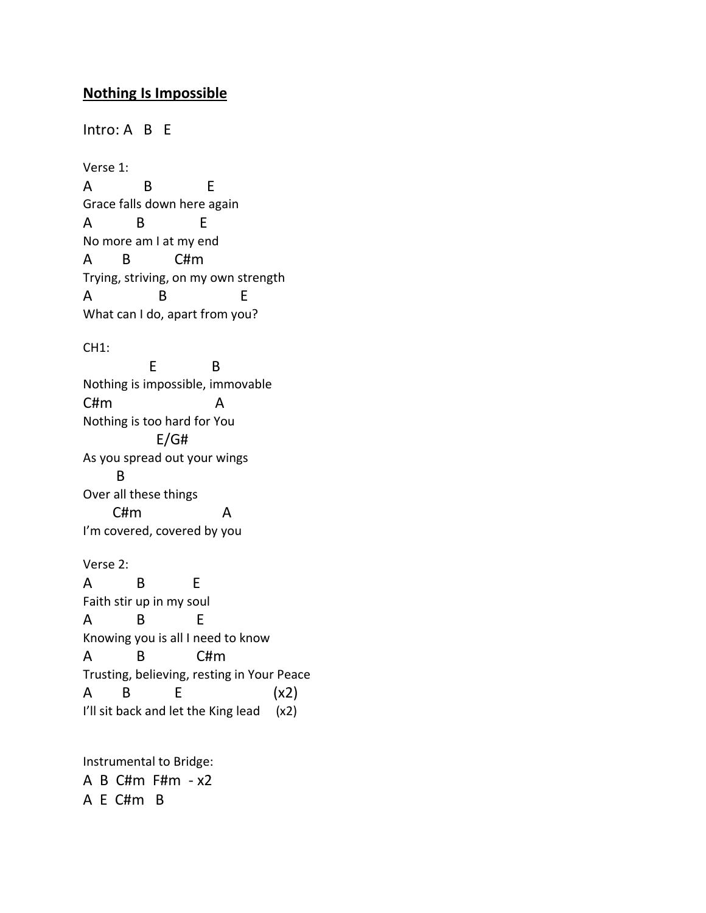## **Nothing Is Impossible**

Intro: A B E Verse 1: A B E Grace falls down here again A B E No more am I at my end A B C#m Trying, striving, on my own strength A B E What can I do, apart from you? CH1: E B Nothing is impossible, immovable C#m A Nothing is too hard for You E/G# As you spread out your wings B Over all these things C#m A I'm covered, covered by you Verse 2: A B E Faith stir up in my soul A B E Knowing you is all I need to know A B C#m Trusting, believing, resting in Your Peace A B E (x2) I'll sit back and let the King lead (x2)

Instrumental to Bridge: A B C#m F#m - x2 A E C#m B